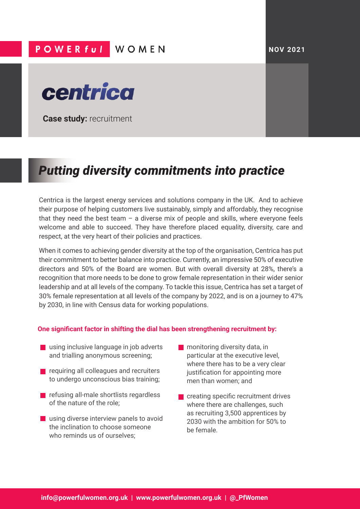## **POWER full WOMEN**





**Case study:** recruitment

## *Putting diversity commitments into practice*

Centrica is the largest energy services and solutions company in the UK. And to achieve their purpose of helping customers live sustainably, simply and affordably, they recognise that they need the best team  $-$  a diverse mix of people and skills, where everyone feels welcome and able to succeed. They have therefore placed equality, diversity, care and respect, at the very heart of their policies and practices.

When it comes to achieving gender diversity at the top of the organisation, Centrica has put their commitment to better balance into practice. Currently, an impressive 50% of executive directors and 50% of the Board are women. But with overall diversity at 28%, there's a recognition that more needs to be done to grow female representation in their wider senior leadership and at all levels of the company. To tackle this issue, Centrica has set a target of 30% female representation at all levels of the company by 2022, and is on a journey to 47% by 2030, in line with Census data for working populations.

## **One significant factor in shifting the dial has been strengthening recruitment by:**

- **using inclusive language in job adverts** and trialling anonymous screening;
- **EXT** requiring all colleagues and recruiters to undergo unconscious bias training;
- **•** refusing all-male shortlists regardless of the nature of the role;
- **using diverse interview panels to avoid** the inclination to choose someone who reminds us of ourselves;
- **n** monitoring diversity data, in particular at the executive level, where there has to be a very clear justification for appointing more men than women; and
- **•** creating specific recruitment drives where there are challenges, such as recruiting 3,500 apprentices by 2030 with the ambition for 50% to be female.